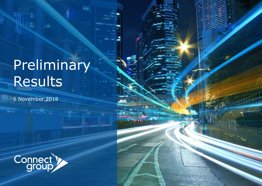## Preliminary Results

6 November 2018

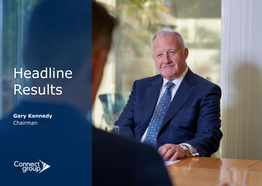## Headline Results

**Gary Kennedy** Chairman



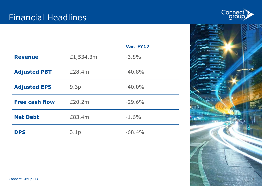

| $\mathbf{H}$ |   |
|--------------|---|
|              |   |
|              |   |
|              |   |
|              |   |
|              |   |
|              |   |
|              | 3 |

**All Color Andrew Ca** 

|                       |           | Var. FY17 |
|-----------------------|-----------|-----------|
| <b>Revenue</b>        | £1,534.3m | $-3.8%$   |
| <b>Adjusted PBT</b>   | £28.4m    | $-40.8%$  |
| <b>Adjusted EPS</b>   | 9.3p      | $-40.0\%$ |
| <b>Free cash flow</b> | £20.2m    | $-29.6%$  |
| <b>Net Debt</b>       | £83.4m    | $-1.6%$   |
| <b>DPS</b>            | 3.1p      | $-68.4%$  |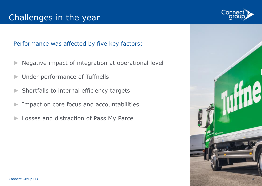#### Performance was affected by five key factors:

- Negative impact of integration at operational level
- Under performance of Tuffnells
- Shortfalls to internal efficiency targets
- Impact on core focus and accountabilities
- Losses and distraction of Pass My Parcel



4

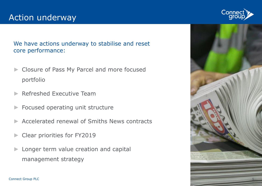We have actions underway to stabilise and reset core performance:

- Closure of Pass My Parcel and more focused portfolio
- ► Refreshed Executive Team
- Focused operating unit structure
- Accelerated renewal of Smiths News contracts
- Clear priorities for FY2019
- Longer term value creation and capital management strategy



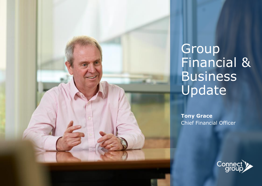

**Tony Grace** Chief Financial Officer

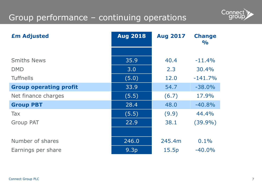## Group performance – continuing operations



| <b>£m Adjusted</b>            | <b>Aug 2018</b>  | <b>Aug 2017</b> | <b>Change</b><br>$\frac{1}{2}$ |
|-------------------------------|------------------|-----------------|--------------------------------|
|                               |                  |                 |                                |
| <b>Smiths News</b>            | 35.9             | 40.4            | $-11.4%$                       |
| <b>DMD</b>                    | 3.0              | 2.3             | 30.4%                          |
| <b>Tuffnells</b>              | (5.0)            | 12.0            | $-141.7%$                      |
| <b>Group operating profit</b> | 33.9             | 54.7            | $-38.0%$                       |
| Net finance charges           | (5.5)            | (6.7)           | 17.9%                          |
| <b>Group PBT</b>              | 28.4             | 48.0            | $-40.8%$                       |
| Tax                           | (5.5)            | (9.9)           | 44.4%                          |
| <b>Group PAT</b>              | 22.9             | 38.1            | $(39.9\%)$                     |
|                               |                  |                 |                                |
| Number of shares              | 246.0            | 245.4m          | $0.1\%$                        |
| Earnings per share            | 9.3 <sub>p</sub> | 15.5p           | $-40.0%$                       |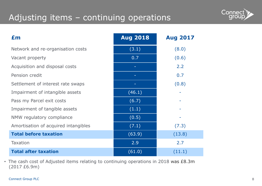## Adjusting items – continuing operations



| Em                                   | <b>Aug 2018</b> | <b>Aug 2017</b> |
|--------------------------------------|-----------------|-----------------|
| Network and re-organisation costs    | (3.1)           | (8.0)           |
| Vacant property                      | 0.7             | (0.6)           |
| Acquisition and disposal costs       |                 | 2.2             |
| Pension credit                       |                 | 0.7             |
| Settlement of interest rate swaps    |                 | (0.8)           |
| Impairment of intangible assets      | (46.1)          |                 |
| Pass my Parcel exit costs            | (6.7)           |                 |
| Impairment of tangible assets        | (1.1)           |                 |
| NMW regulatory compliance            | (0.5)           |                 |
| Amortisation of acquired intangibles | (7.1)           | (7.3)           |
| <b>Total before taxation</b>         | (63.9)          | (13.8)          |
| <b>Taxation</b>                      | 2.9             | 2.7             |
| <b>Total after taxation</b>          | (61.0)          | (11.1)          |

• The cash cost of Adjusted items relating to continuing operations in 2018 was £8.3m (2017 £6.9m)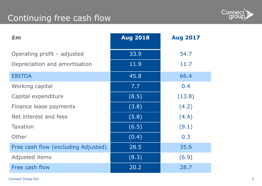## Continuing free cash flow



| Em                                  | <b>Aug 2018</b> | <b>Aug 2017</b> |
|-------------------------------------|-----------------|-----------------|
| Operating profit – adjusted         | 33.9            | 54.7            |
| Depreciation and amortisation       | 11.9            | 11.7            |
| <b>EBITDA</b>                       | 45.8            | 66.4            |
| Working capital                     | 7.7             | 0.4             |
| Capital expenditure                 | (8.5)           | (13.8)          |
| Finance lease payments              | (3.8)           | (4.2)           |
| Net interest and fees               | (5.8)           | (4.4)           |
| <b>Taxation</b>                     | (6.5)           | (9.1)           |
| Other                               | (0.4)           | 0.3             |
| Free cash flow (excluding Adjusted) | 28.5            | 35.6            |
| Adjusted items                      | (8.3)           | (6.9)           |
| Free cash flow                      | 20.2            | 28.7            |

Connect Group PLC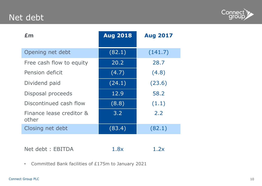## Net debt



| £m                                | <b>Aug 2018</b> | <b>Aug 2017</b> |
|-----------------------------------|-----------------|-----------------|
| Opening net debt                  | (82.1)          | (141.7)         |
| Free cash flow to equity          | 20.2            | 28.7            |
| Pension deficit                   | (4.7)           | (4.8)           |
| Dividend paid                     | (24.1)          | (23.6)          |
| Disposal proceeds                 | 12.9            | 58.2            |
| Discontinued cash flow            | (8.8)           | (1.1)           |
| Finance lease creditor &<br>other | 3.2             | 2.2             |
| Closing net debt                  | (83.4)          | (82.1)          |

Net debt : EBITDA 1.8x 1.2x

• Committed Bank facilities of £175m to January 2021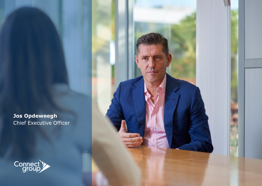**Jos Opdeweegh** Chief Executive Officer



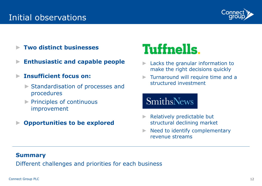### Initial observations



- ► **Two distinct businesses**
- ► **Enthusiastic and capable people**
- ► **Insufficient focus on:**
	- ► Standardisation of processes and procedures
	- ► Principles of continuous improvement
- ► **Opportunities to be explored**

## **Tuffnells.**

- ► Lacks the granular information to make the right decisions quickly
- ► Turnaround will require time and a structured investment

## **SmithsNews**

- Relatively predictable but structural declining market
- ► Need to identify complementary revenue streams

#### **Summary**

Different challenges and priorities for each business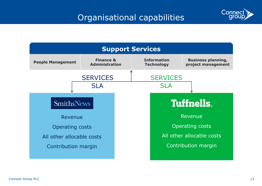

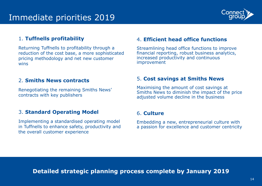

#### 1. **Tuffnells profitability**

Returning Tuffnells to profitability through a reduction of the cost base, a more sophisticated pricing methodology and net new customer wins

#### 2. **Smiths News contracts**

Renegotiating the remaining Smiths News' contracts with key publishers

#### 3. **Standard Operating Model**

Implementing a standardised operating model in Tuffnells to enhance safety, productivity and the overall customer experience

#### 4. **Efficient head office functions**

Streamlining head office functions to improve financial reporting, robust business analytics, increased productivity and continuous improvement

#### 5. **Cost savings at Smiths News**

Maximising the amount of cost savings at Smiths News to diminish the impact of the price adjusted volume decline in the business

#### 6. **Culture**

Embedding a new, entrepreneurial culture with a passion for excellence and customer centricity

**Detailed strategic planning process complete by January 2019**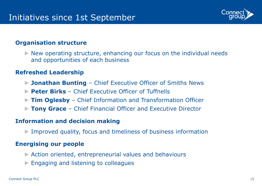

#### **Organisation structure**

 $\triangleright$  New operating structure, enhancing our focus on the individual needs and opportunities of each business

#### **Refreshed Leadership**

- ► **Jonathan Bunting**  Chief Executive Officer of Smiths News
- ► **Peter Birks**  Chief Executive Officer of Tuffnells
- ► **Tim Oglesby**  Chief Information and Transformation Officer
- ► **Tony Grace**  Chief Financial Officer and Executive Director

### **Information and decision making**

► Improved quality, focus and timeliness of business information

#### **Energising our people**

- ► Action oriented, entrepreneurial values and behaviours
- ► Engaging and listening to colleagues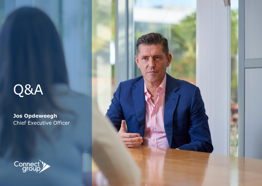# Q&A

**Jos Opdeweegh** Chief Executive Officer



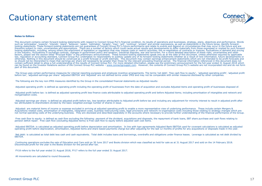### Cautionary statement



#### **Notes to Editors**

This document contains certain forward-looking statements with respect to Connect Group PLC's financial condition, its results of operations and businesses, strategy, plans, believes, "believes", "estimates", transts", tra can be found on the Investor Relations section of the Connect Group PLC website – [www.connectgroupplc.com](http://www.connectgroupplc.com/). However, the contents of Connect Group PLC's website are not incorporated into and do not form part of this document.

The Group uses certain performance measures for internal reporting purposes and employee incentive arrangements. The terms 'net debt', 'free cash flow to equity', 'adjusted operating profit', 'adjusted profit<br>before tax',

The following are the key non-IFRS measures identified by the Group in the consolidated financial statements as Adjusted results:

Adjusted operating profit: is defined as operating profit including the operating profit of businesses from the date of acquisition and excludes Adjusted items and operating profit of businesses disposed of.

Adjusted profit before tax: is defined as adjusted operating profit less finance costs attributable to adjusted operating profit and before Adjusted items; including amortisation of intangibles and network and reorganisation costs.

Adjusted earnings per share: is defined as adjusted profit before tax, less taxation attributable to Adjusted profit before tax and including any adjustment for minority interest to result in adjusted profit after tax attributable to shareholders divided by the basic weighted average number of shares in issue.

Adjusted: are material items of income or expense excluded in arriving at adjusted operating profit to enable a more representative view of underlying performance. These include certain Mergers & Acquisitions related costs, amortisation of intangibles, integration costs, business restructuring costs, legal provisions and network re-organisation costs including those relating to strategy changes which are<br>not normal

Free cash flow to equity: is defined as cash flow excluding the following: payment of the dividend, acquisitions and disposals, the repayment of bank loans, EBT share purchase and cash flows relating to pension deficit repair. Free cash flow (excluding Adjusted items) is Free cash flow to equity before adjusted cash cost items.

Adjusted EBITDA: is calculated as adjusted operating profit before depreciation and amortisation. In line with loan agreements Adjusted Bank EBITDA used for covenant calculations is calculated as adjusted operating profit before depreciation, amortisation, Adjusted items and share based payments charge but after adjusting for the last 12 months of profits for any acquisitions or disposals made in the year.

Net debt: is calculated as total debt less cash and cash equivalents. Total debt includes loans and borrowings, overdrafts and obligations under finance leases. Leverage is calculated as net debt divided by EBITDA.

Continuing operations excludes the sale of Education and Care sold on 30 June 2017 and Books division which was classified as held for sale as at 31 August 2017 and sold on the 14 February 2018. Discontinued profit for the year is the Books division for the period after tax.

FY18 refers to the full year ended 31 August 2018, FY17 refers to the full year ended 31 August 2017.

All movements are calculated to round thousands.